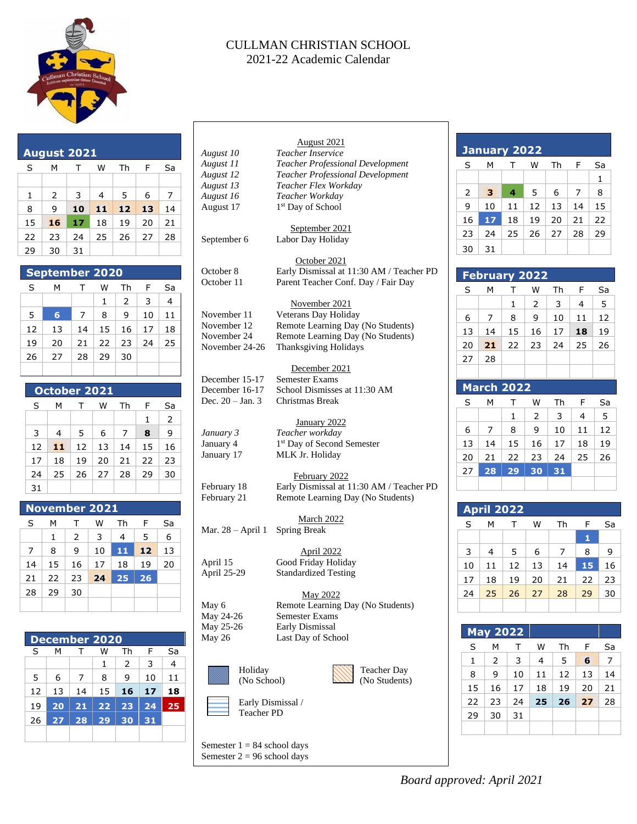

### CULLMAN CHRISTIAN SCHOOL 2021-22 Academic Calendar

| <b>August 2021</b> |    |                                  |                         |                |                |              |                |
|--------------------|----|----------------------------------|-------------------------|----------------|----------------|--------------|----------------|
|                    | S  | M                                | т<br>W<br>Th<br>F<br>Sa |                |                |              |                |
|                    |    |                                  |                         |                |                |              |                |
|                    | 1  | $\overline{2}$                   | 3                       | $\overline{4}$ | 5              | 6            | $\overline{7}$ |
|                    | 8  | 9                                | 10                      | m              | 12             | 13           | 14             |
|                    |    |                                  |                         |                |                |              |                |
|                    | 15 | 16                               | 17                      | 18             | 19             | 20           | 21             |
|                    | 22 | 23                               | 24                      | 25             | 26             | 27           | 28             |
|                    | 29 | 30                               | 31                      |                |                |              |                |
|                    |    |                                  |                         |                |                |              |                |
|                    |    |                                  | September 2020          |                |                |              |                |
|                    | S  | М                                | т                       | W              | Th             | F            | Sa             |
|                    |    |                                  |                         | $\mathbf{1}$   | $\overline{2}$ | 3            | $\overline{4}$ |
|                    | 5  | $6\phantom{1}$                   | $\overline{7}$          | 8              | 9              | 10           | 11             |
|                    |    |                                  |                         |                |                |              |                |
|                    |    | 17<br>12<br>13<br>14<br>15<br>16 |                         | 18             |                |              |                |
|                    | 19 | 22<br>23<br>24<br>20<br>21       |                         | 25             |                |              |                |
|                    | 26 | 27                               | 28                      | 29             | 30             |              |                |
|                    |    |                                  |                         |                |                |              |                |
|                    |    |                                  |                         |                |                |              |                |
|                    |    |                                  | October 2021            |                |                |              |                |
|                    | S  | M                                | т                       | W              | Th             | F            | Sa             |
|                    |    |                                  |                         |                |                | $\mathbf{1}$ | $\overline{2}$ |
|                    | 3  | 4                                | 5                       | 6              | $\overline{7}$ | 8            | 9              |
|                    | 12 | W                                | 12                      | 13             | 14             | 15           | 16             |
|                    |    |                                  |                         |                |                |              |                |
|                    | 17 | 18                               | 19                      | 20             | 21             | 22           | 23             |
|                    | 24 | 25                               | 26                      | 27             | 28             | 29           | 30             |
|                    | 31 |                                  |                         |                |                |              |                |
|                    |    |                                  |                         |                |                |              |                |
|                    |    |                                  | <b>November 2021</b>    |                |                |              |                |
|                    | S  | М                                | Τ                       | W              | Th             | F            | Sa             |
|                    |    | 1                                | $\overline{2}$          | 3              | 4              | 5            | 6              |
|                    | 7  | 8                                | 9                       | 10             | 11             | 12           | 13             |
|                    | 14 | 15                               | 16                      | 17             | 18             | 19           | 20             |
|                    |    |                                  |                         |                |                |              |                |
|                    | 21 | 22                               | 23                      | 24             | 25             | 26           |                |

# **December 2020** S M T W Th F Sa  $1 \mid 2 \mid 3 \mid 4$  $5$   $6$   $7$   $8$   $9$   $10$   $11$ 12 13 14 15 **16 17 18** 19 **20 21 22 23 24 25** 26 **27 28 29 30 31**

 $28 \mid 29 \mid 30$ 

May 2022 May 6 Remote Learning Day (No Students) May 24-26 Semester Exams May 25-26 Early Dismissal May 26 Last Day of School







Semester  $1 = 84$  school days Semester  $2 = 96$  school days

| January 2022 |    |    |    |    |    |    |  |  |
|--------------|----|----|----|----|----|----|--|--|
| S            | м  | т  | w  | Th | F  | Sa |  |  |
|              |    |    |    |    |    | 1  |  |  |
| 2            | S, | 4  | 5  | 6  | 7  | 8  |  |  |
| 9            | 10 | 11 | 12 | 13 | 14 | 15 |  |  |
| 16           | 17 | 18 | 19 | 20 | 21 | 22 |  |  |
| 23           | 24 | 25 | 26 | 27 | 28 | 29 |  |  |
| 30           | 31 |    |    |    |    |    |  |  |

## **February 2022**

| S  | м  | т  | W  | Th | F  | Sa |
|----|----|----|----|----|----|----|
|    |    | 1  | 2  | 3  | 4  | 5  |
| 6  | 7  | 8  | 9  | 10 | 11 | 12 |
| 13 | 14 | 15 | 16 | 17 | 18 | 19 |
| 20 | 20 | 22 | 23 | 24 | 25 | 26 |
| 27 | 28 |    |    |    |    |    |
|    |    |    |    |    |    |    |

## **March 2022**

| S  | м  | т  | w  | Th | F  | Sa |
|----|----|----|----|----|----|----|
|    |    | 1  | 2  | 3  | 4  | 5  |
| 6  | 7  | 8  | 9  | 10 | 11 | 12 |
| 13 | 14 | 15 | 16 | 17 | 18 | 19 |
| 20 | 21 | 22 | 23 | 24 | 25 | 26 |
| 27 | 28 | 29 | 30 | 31 |    |    |
|    |    |    |    |    |    |    |

| <b>April 2022</b> |    |    |    |    |    |    |  |  |  |
|-------------------|----|----|----|----|----|----|--|--|--|
| S                 | м  | т  | w  | Th | F  | Sa |  |  |  |
|                   |    |    |    |    | 1  |    |  |  |  |
| 3                 | 4  | 5  | 6  | 7  | 8  | 9  |  |  |  |
| 10                | 11 | 12 | 13 | 14 | 15 | 16 |  |  |  |
| 17                | 18 | 19 | 20 | 21 | 22 | 23 |  |  |  |
| 24                | 25 | 26 | 27 | 28 | 29 | 30 |  |  |  |
|                   |    |    |    |    |    |    |  |  |  |

| <b>May 2022</b> |    |    |    |    |     |    |  |  |  |
|-----------------|----|----|----|----|-----|----|--|--|--|
| S               | м  | т  | w  | Th | F   | Sa |  |  |  |
| 1               | 2  | 3  | 4  | 5  | 6   | 7  |  |  |  |
| 8               | 9  | 10 | 11 | 12 | 13  | 14 |  |  |  |
| 15              | 16 | 17 | 18 | 19 | 20  | 21 |  |  |  |
| 22              | 23 | 24 | 25 | 26 | XV. | 28 |  |  |  |
| 29              | 30 | 31 |    |    |     |    |  |  |  |
|                 |    |    |    |    |     |    |  |  |  |

## *Board approved: April 2021*